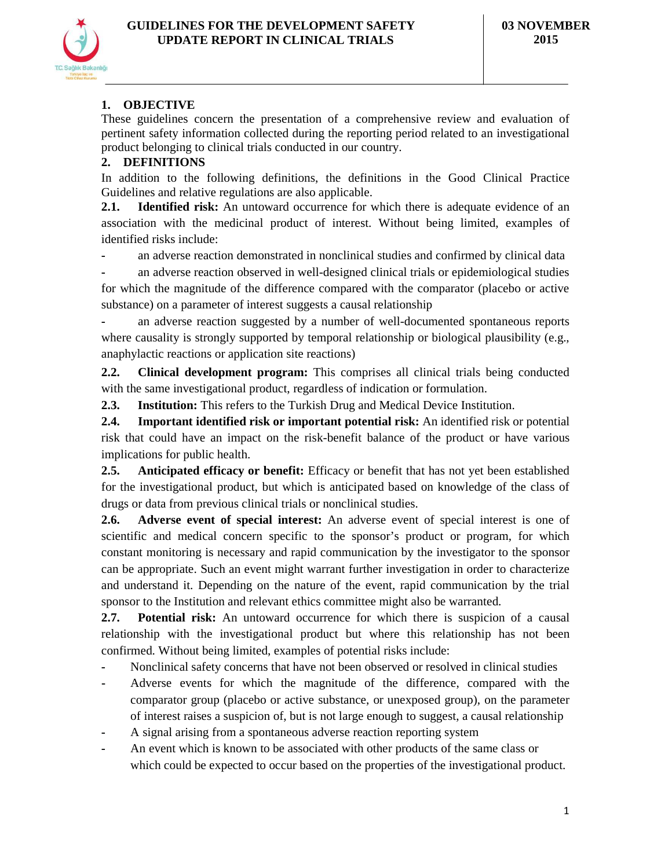# **1. OBJECTIVE**

These guidelines concern the presentation of a comprehensive review and evaluation of pertinent safety information collected during the reporting period related to an investigational product belonging to clinical trials conducted in our country.

# **2. DEFINITIONS**

In addition to the following definitions, the definitions in the Good Clinical Practice Guidelines and relative regulations are also applicable.

**2.1. Identified risk:** An untoward occurrence for which there is adequate evidence of an association with the medicinal product of interest. Without being limited, examples of identified risks include:

**-** an adverse reaction demonstrated in nonclinical studies and confirmed by clinical data

**-** an adverse reaction observed in well-designed clinical trials or epidemiological studies for which the magnitude of the difference compared with the comparator (placebo or active substance) on a parameter of interest suggests a causal relationship

**-** an adverse reaction suggested by a number of well-documented spontaneous reports where causality is strongly supported by temporal relationship or biological plausibility (e.g., anaphylactic reactions or application site reactions)

**2.2. Clinical development program:** This comprises all clinical trials being conducted with the same investigational product, regardless of indication or formulation.

**2.3. Institution:** This refers to the Turkish Drug and Medical Device Institution.

**2.4. Important identified risk or important potential risk:** An identified risk or potential risk that could have an impact on the risk-benefit balance of the product or have various implications for public health.

**2.5. Anticipated efficacy or benefit:** Efficacy or benefit that has not yet been established for the investigational product, but which is anticipated based on knowledge of the class of drugs or data from previous clinical trials or nonclinical studies.

**2.6. Adverse event of special interest:** An adverse event of special interest is one of scientific and medical concern specific to the sponsor's product or program, for which constant monitoring is necessary and rapid communication by the investigator to the sponsor can be appropriate. Such an event might warrant further investigation in order to characterize and understand it. Depending on the nature of the event, rapid communication by the trial sponsor to the Institution and relevant ethics committee might also be warranted.

**2.7. Potential risk:** An untoward occurrence for which there is suspicion of a causal relationship with the investigational product but where this relationship has not been confirmed. Without being limited, examples of potential risks include:

- **-** Nonclinical safety concerns that have not been observed or resolved in clinical studies
- **-** Adverse events for which the magnitude of the difference, compared with the comparator group (placebo or active substance, or unexposed group), on the parameter of interest raises a suspicion of, but is not large enough to suggest, a causal relationship
- **-** A signal arising from a spontaneous adverse reaction reporting system
- **-** An event which is known to be associated with other products of the same class or which could be expected to occur based on the properties of the investigational product.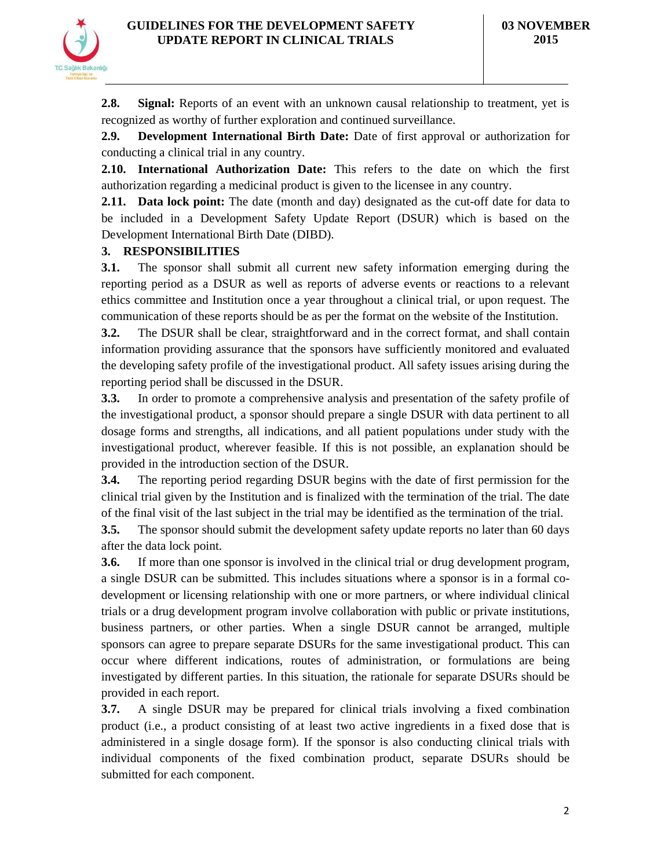

**2.8. Signal:** Reports of an event with an unknown causal relationship to treatment, yet is recognized as worthy of further exploration and continued surveillance.

**2.9. Development International Birth Date:** Date of first approval or authorization for conducting a clinical trial in any country.

**2.10. International Authorization Date:** This refers to the date on which the first authorization regarding a medicinal product is given to the licensee in any country.

**2.11. Data lock point:** The date (month and day) designated as the cut-off date for data to be included in a Development Safety Update Report (DSUR) which is based on the Development International Birth Date (DIBD).

# **3. RESPONSIBILITIES**

**3.1.** The sponsor shall submit all current new safety information emerging during the reporting period as a DSUR as well as reports of adverse events or reactions to a relevant ethics committee and Institution once a year throughout a clinical trial, or upon request. The communication of these reports should be as per the format on the website of the Institution.

**3.2.** The DSUR shall be clear, straightforward and in the correct format, and shall contain information providing assurance that the sponsors have sufficiently monitored and evaluated the developing safety profile of the investigational product. All safety issues arising during the reporting period shall be discussed in the DSUR.

**3.3.** In order to promote a comprehensive analysis and presentation of the safety profile of the investigational product, a sponsor should prepare a single DSUR with data pertinent to all dosage forms and strengths, all indications, and all patient populations under study with the investigational product, wherever feasible. If this is not possible, an explanation should be provided in the introduction section of the DSUR.

**3.4.** The reporting period regarding DSUR begins with the date of first permission for the clinical trial given by the Institution and is finalized with the termination of the trial. The date of the final visit of the last subject in the trial may be identified as the termination of the trial.

**3.5.** The sponsor should submit the development safety update reports no later than 60 days after the data lock point.

**3.6.** If more than one sponsor is involved in the clinical trial or drug development program, a single DSUR can be submitted. This includes situations where a sponsor is in a formal codevelopment or licensing relationship with one or more partners, or where individual clinical trials or a drug development program involve collaboration with public or private institutions, business partners, or other parties. When a single DSUR cannot be arranged, multiple sponsors can agree to prepare separate DSURs for the same investigational product. This can occur where different indications, routes of administration, or formulations are being investigated by different parties. In this situation, the rationale for separate DSURs should be provided in each report.

**3.7.** A single DSUR may be prepared for clinical trials involving a fixed combination product (i.e., a product consisting of at least two active ingredients in a fixed dose that is administered in a single dosage form). If the sponsor is also conducting clinical trials with individual components of the fixed combination product, separate DSURs should be submitted for each component.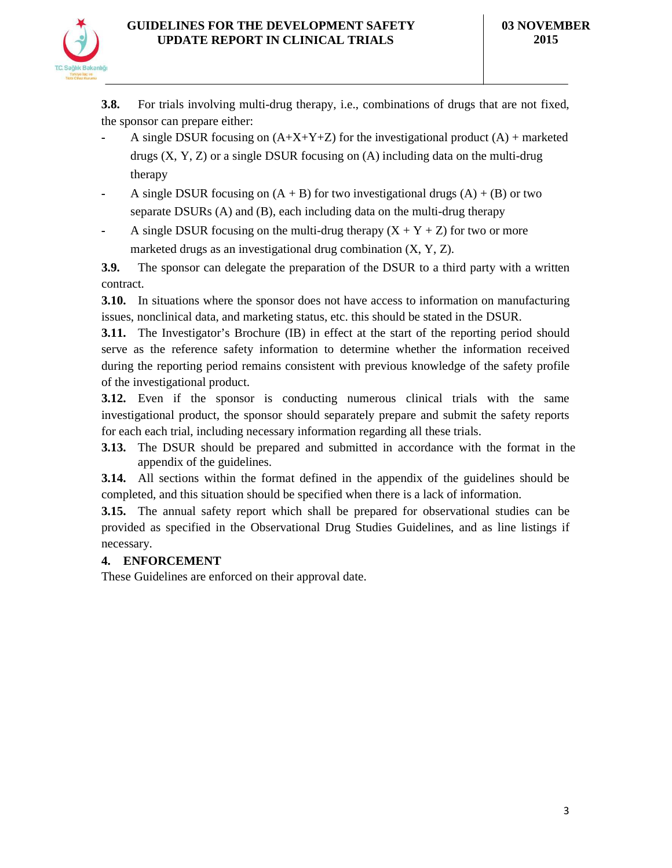

**3.8.** For trials involving multi-drug therapy, i.e., combinations of drugs that are not fixed, the sponsor can prepare either:

- A single DSUR focusing on  $(A+X+Y+Z)$  for the investigational product  $(A)$  + marketed drugs  $(X, Y, Z)$  or a single DSUR focusing on  $(A)$  including data on the multi-drug therapy
- **-** A single DSUR focusing on (A + B) for two investigational drugs (A) + (B) or two separate DSURs (A) and (B), each including data on the multi-drug therapy
- A single DSUR focusing on the multi-drug therapy  $(X + Y + Z)$  for two or more marketed drugs as an investigational drug combination (X, Y, Z).

**3.9.** The sponsor can delegate the preparation of the DSUR to a third party with a written contract.

**3.10.** In situations where the sponsor does not have access to information on manufacturing issues, nonclinical data, and marketing status, etc. this should be stated in the DSUR.

**3.11.** The Investigator's Brochure (IB) in effect at the start of the reporting period should serve as the reference safety information to determine whether the information received during the reporting period remains consistent with previous knowledge of the safety profile of the investigational product.

**3.12.** Even if the sponsor is conducting numerous clinical trials with the same investigational product, the sponsor should separately prepare and submit the safety reports for each each trial, including necessary information regarding all these trials.

**3.13.** The DSUR should be prepared and submitted in accordance with the format in the appendix of the guidelines.

**3.14.** All sections within the format defined in the appendix of the guidelines should be completed, and this situation should be specified when there is a lack of information.

**3.15.** The annual safety report which shall be prepared for observational studies can be provided as specified in the Observational Drug Studies Guidelines, and as line listings if necessary.

# **4. ENFORCEMENT**

These Guidelines are enforced on their approval date.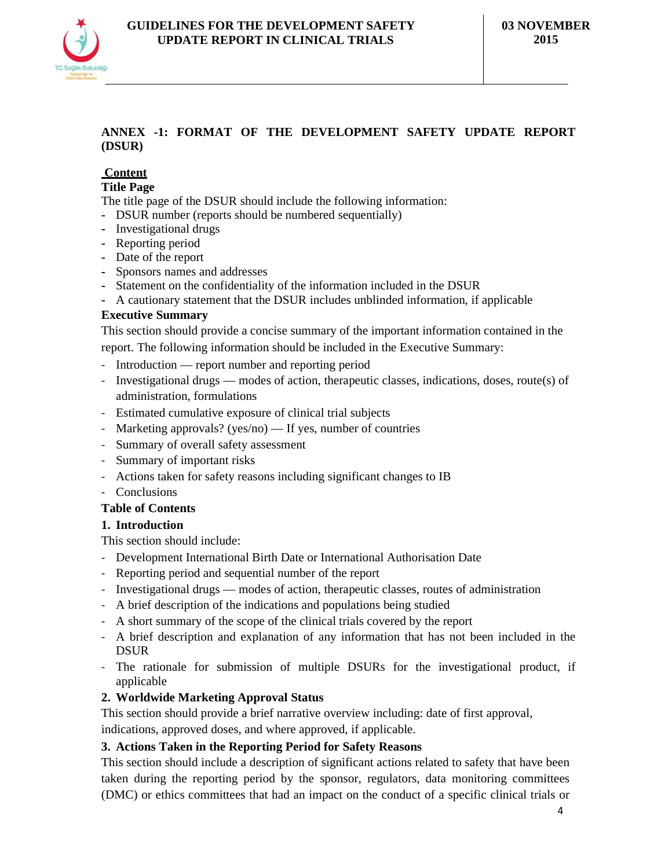## **ANNEX -1: FORMAT OF THE DEVELOPMENT SAFETY UPDATE REPORT (DSUR)**

# **Content**

### **Title Page**

The title page of the DSUR should include the following information:

- **-** DSUR number (reports should be numbered sequentially)
- **-** Investigational drugs
- **-** Reporting period
- **-** Date of the report
- **-** Sponsors names and addresses
- **-** Statement on the confidentiality of the information included in the DSUR
- **-** A cautionary statement that the DSUR includes unblinded information, if applicable

### **Executive Summary**

This section should provide a concise summary of the important information contained in the

report. The following information should be included in the Executive Summary:

- Introduction report number and reporting period
- Investigational drugs modes of action, therapeutic classes, indications, doses, route(s) of administration, formulations
- Estimated cumulative exposure of clinical trial subjects
- Marketing approvals? (yes/no) If yes, number of countries
- Summary of overall safety assessment
- Summary of important risks
- Actions taken for safety reasons including significant changes to IB
- Conclusions

### **Table of Contents**

### **1. Introduction**

This section should include:

- Development International Birth Date or International Authorisation Date
- Reporting period and sequential number of the report
- Investigational drugs modes of action, therapeutic classes, routes of administration
- A brief description of the indications and populations being studied
- A short summary of the scope of the clinical trials covered by the report
- A brief description and explanation of any information that has not been included in the DSUR
- The rationale for submission of multiple DSURs for the investigational product, if applicable
- **2. Worldwide Marketing Approval Status**

This section should provide a brief narrative overview including: date of first approval,

indications, approved doses, and where approved, if applicable.

### **3. Actions Taken in the Reporting Period for Safety Reasons**

This section should include a description of significant actions related to safety that have been taken during the reporting period by the sponsor, regulators, data monitoring committees (DMC) or ethics committees that had an impact on the conduct of a specific clinical trials or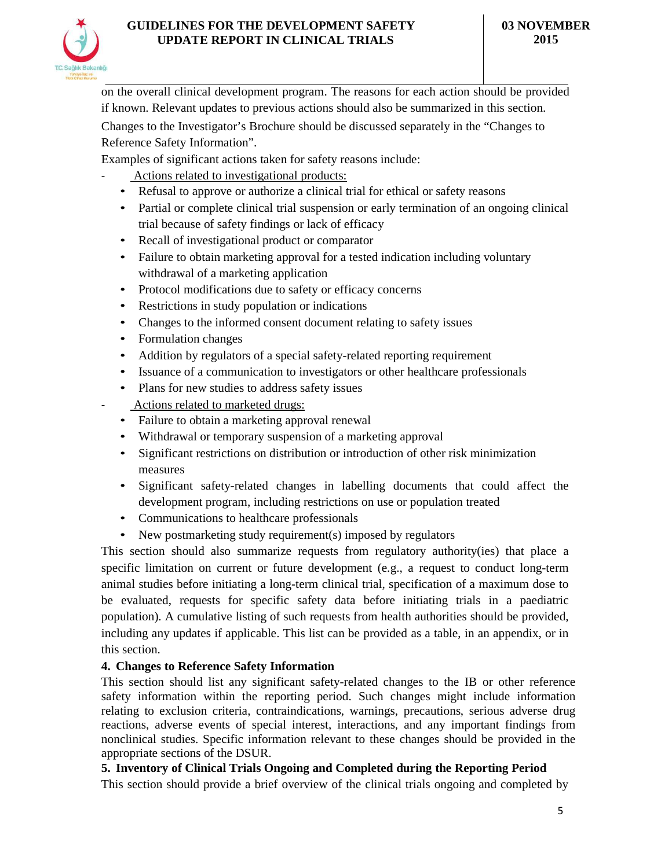

on the overall clinical development program. The reasons for each action should be provided if known. Relevant updates to previous actions should also be summarized in this section.

Changes to the Investigator's Brochure should be discussed separately in the "Changes to Reference Safety Information".

Examples of significant actions taken for safety reasons include:

- Actions related to investigational products:
- Refusal to approve or authorize a clinical trial for ethical or safety reasons
- Partial or complete clinical trial suspension or early termination of an ongoing clinical trial because of safety findings or lack of efficacy
- Recall of investigational product or comparator
- Failure to obtain marketing approval for a tested indication including voluntary withdrawal of a marketing application
- Protocol modifications due to safety or efficacy concerns
- Restrictions in study population or indications
- Changes to the informed consent document relating to safety issues
- Formulation changes
- Addition by regulators of a special safety-related reporting requirement
- Issuance of a communication to investigators or other healthcare professionals
- Plans for new studies to address safety issues
- Actions related to marketed drugs:
- Failure to obtain a marketing approval renewal
- Withdrawal or temporary suspension of a marketing approval
- Significant restrictions on distribution or introduction of other risk minimization measures
- Significant safety-related changes in labelling documents that could affect the development program, including restrictions on use or population treated
- Communications to healthcare professionals
- New postmarketing study requirement(s) imposed by regulators

This section should also summarize requests from regulatory authority(ies) that place a specific limitation on current or future development (e.g., a request to conduct long-term animal studies before initiating a long-term clinical trial, specification of a maximum dose to be evaluated, requests for specific safety data before initiating trials in a paediatric population). A cumulative listing of such requests from health authorities should be provided, including any updates if applicable. This list can be provided as a table, in an appendix, or in this section.

### **4. Changes to Reference Safety Information**

This section should list any significant safety-related changes to the IB or other reference safety information within the reporting period. Such changes might include information relating to exclusion criteria, contraindications, warnings, precautions, serious adverse drug reactions, adverse events of special interest, interactions, and any important findings from nonclinical studies. Specific information relevant to these changes should be provided in the appropriate sections of the DSUR.

### **5. Inventory of Clinical Trials Ongoing and Completed during the Reporting Period**

This section should provide a brief overview of the clinical trials ongoing and completed by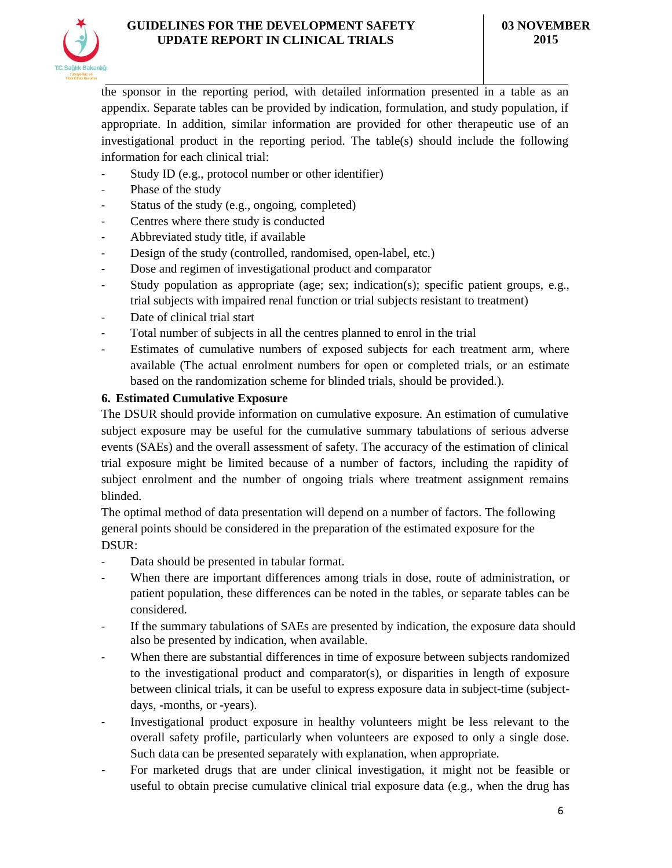

the sponsor in the reporting period, with detailed information presented in a table as an appendix. Separate tables can be provided by indication, formulation, and study population, if appropriate. In addition, similar information are provided for other therapeutic use of an investigational product in the reporting period. The table(s) should include the following information for each clinical trial:

- Study ID (e.g., protocol number or other identifier)
- Phase of the study
- Status of the study (e.g., ongoing, completed)
- Centres where there study is conducted
- Abbreviated study title, if available
- Design of the study (controlled, randomised, open-label, etc.)
- Dose and regimen of investigational product and comparator
- Study population as appropriate (age; sex; indication(s); specific patient groups, e.g., trial subjects with impaired renal function or trial subjects resistant to treatment)
- Date of clinical trial start
- Total number of subjects in all the centres planned to enrol in the trial
- Estimates of cumulative numbers of exposed subjects for each treatment arm, where available (The actual enrolment numbers for open or completed trials, or an estimate based on the randomization scheme for blinded trials, should be provided.).

## **6. Estimated Cumulative Exposure**

The DSUR should provide information on cumulative exposure. An estimation of cumulative subject exposure may be useful for the cumulative summary tabulations of serious adverse events (SAEs) and the overall assessment of safety. The accuracy of the estimation of clinical trial exposure might be limited because of a number of factors, including the rapidity of subject enrolment and the number of ongoing trials where treatment assignment remains blinded.

The optimal method of data presentation will depend on a number of factors. The following general points should be considered in the preparation of the estimated exposure for the DSUR:

- Data should be presented in tabular format.
- When there are important differences among trials in dose, route of administration, or patient population, these differences can be noted in the tables, or separate tables can be considered.
- If the summary tabulations of SAEs are presented by indication, the exposure data should also be presented by indication, when available.
- When there are substantial differences in time of exposure between subjects randomized to the investigational product and comparator(s), or disparities in length of exposure between clinical trials, it can be useful to express exposure data in subject-time (subjectdays, -months, or -years).
- Investigational product exposure in healthy volunteers might be less relevant to the overall safety profile, particularly when volunteers are exposed to only a single dose. Such data can be presented separately with explanation, when appropriate.
- For marketed drugs that are under clinical investigation, it might not be feasible or useful to obtain precise cumulative clinical trial exposure data (e.g., when the drug has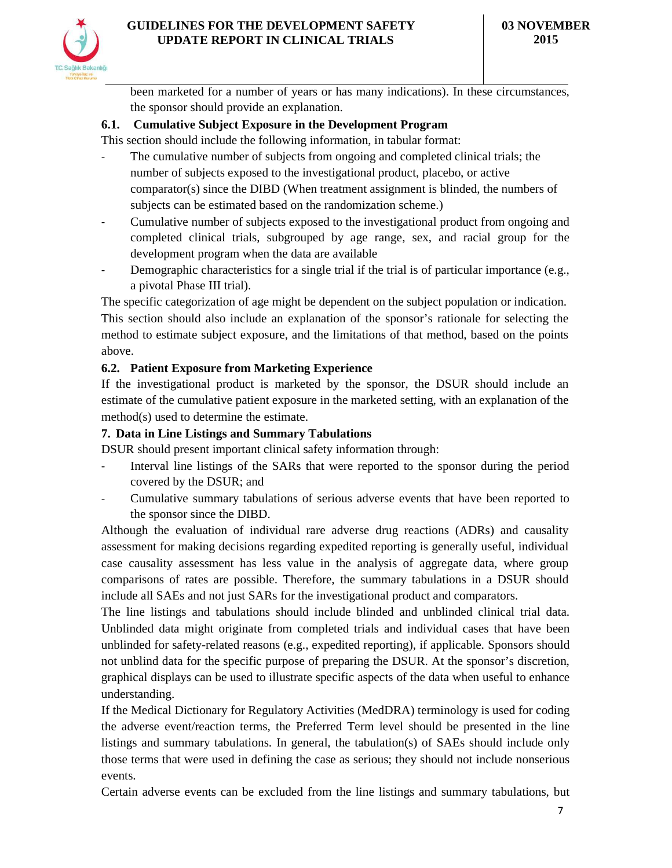

been marketed for a number of years or has many indications). In these circumstances, the sponsor should provide an explanation.

# **6.1. Cumulative Subject Exposure in the Development Program**

This section should include the following information, in tabular format:

- The cumulative number of subjects from ongoing and completed clinical trials; the number of subjects exposed to the investigational product, placebo, or active comparator(s) since the DIBD (When treatment assignment is blinded, the numbers of subjects can be estimated based on the randomization scheme.)
- Cumulative number of subjects exposed to the investigational product from ongoing and completed clinical trials, subgrouped by age range, sex, and racial group for the development program when the data are available
- Demographic characteristics for a single trial if the trial is of particular importance  $(e.g.,)$ a pivotal Phase III trial).

The specific categorization of age might be dependent on the subject population or indication. This section should also include an explanation of the sponsor's rationale for selecting the method to estimate subject exposure, and the limitations of that method, based on the points above.

# **6.2. Patient Exposure from Marketing Experience**

If the investigational product is marketed by the sponsor, the DSUR should include an estimate of the cumulative patient exposure in the marketed setting, with an explanation of the method(s) used to determine the estimate.

## **7. Data in Line Listings and Summary Tabulations**

DSUR should present important clinical safety information through:

- Interval line listings of the SARs that were reported to the sponsor during the period covered by the DSUR; and
- Cumulative summary tabulations of serious adverse events that have been reported to the sponsor since the DIBD.

Although the evaluation of individual rare adverse drug reactions (ADRs) and causality assessment for making decisions regarding expedited reporting is generally useful, individual case causality assessment has less value in the analysis of aggregate data, where group comparisons of rates are possible. Therefore, the summary tabulations in a DSUR should include all SAEs and not just SARs for the investigational product and comparators.

The line listings and tabulations should include blinded and unblinded clinical trial data. Unblinded data might originate from completed trials and individual cases that have been unblinded for safety-related reasons (e.g., expedited reporting), if applicable. Sponsors should not unblind data for the specific purpose of preparing the DSUR. At the sponsor's discretion, graphical displays can be used to illustrate specific aspects of the data when useful to enhance understanding.

If the Medical Dictionary for Regulatory Activities (MedDRA) terminology is used for coding the adverse event/reaction terms, the Preferred Term level should be presented in the line listings and summary tabulations. In general, the tabulation(s) of SAEs should include only those terms that were used in defining the case as serious; they should not include nonserious events.

Certain adverse events can be excluded from the line listings and summary tabulations, but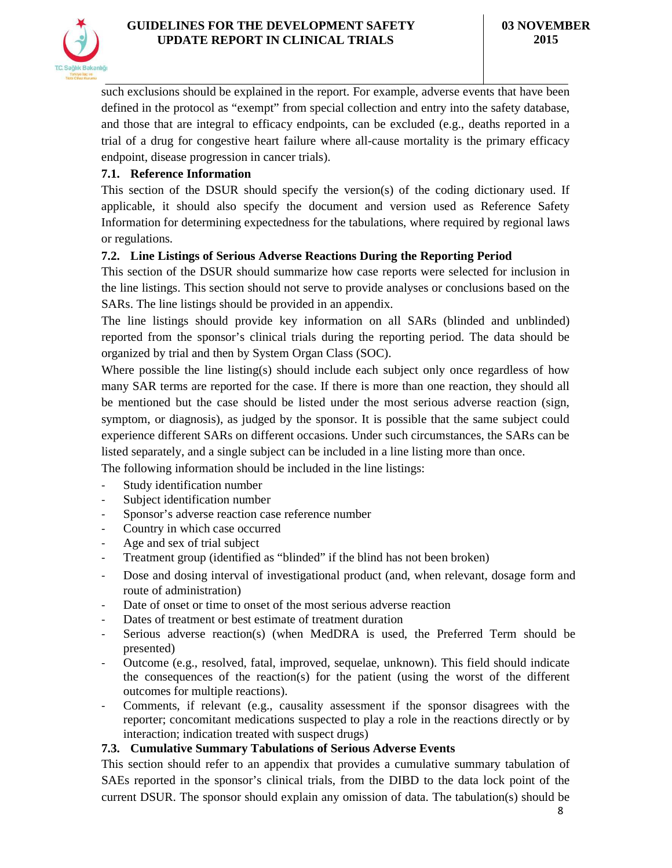

such exclusions should be explained in the report. For example, adverse events that have been defined in the protocol as "exempt" from special collection and entry into the safety database, and those that are integral to efficacy endpoints, can be excluded (e.g., deaths reported in a trial of a drug for congestive heart failure where all-cause mortality is the primary efficacy endpoint, disease progression in cancer trials).

### **7.1. Reference Information**

This section of the DSUR should specify the version(s) of the coding dictionary used. If applicable, it should also specify the document and version used as Reference Safety Information for determining expectedness for the tabulations, where required by regional laws or regulations.

## **7.2. Line Listings of Serious Adverse Reactions During the Reporting Period**

This section of the DSUR should summarize how case reports were selected for inclusion in the line listings. This section should not serve to provide analyses or conclusions based on the SARs. The line listings should be provided in an appendix.

The line listings should provide key information on all SARs (blinded and unblinded) reported from the sponsor's clinical trials during the reporting period. The data should be organized by trial and then by System Organ Class (SOC).

Where possible the line listing(s) should include each subject only once regardless of how many SAR terms are reported for the case. If there is more than one reaction, they should all be mentioned but the case should be listed under the most serious adverse reaction (sign, symptom, or diagnosis), as judged by the sponsor. It is possible that the same subject could experience different SARs on different occasions. Under such circumstances, the SARs can be listed separately, and a single subject can be included in a line listing more than once.

The following information should be included in the line listings:

- Study identification number
- Subject identification number
- Sponsor's adverse reaction case reference number
- Country in which case occurred
- Age and sex of trial subject
- Treatment group (identified as "blinded" if the blind has not been broken)
- Dose and dosing interval of investigational product (and, when relevant, dosage form and route of administration)
- Date of onset or time to onset of the most serious adverse reaction
- Dates of treatment or best estimate of treatment duration
- Serious adverse reaction(s) (when MedDRA is used, the Preferred Term should be presented)
- Outcome (e.g., resolved, fatal, improved, sequelae, unknown). This field should indicate the consequences of the reaction(s) for the patient (using the worst of the different outcomes for multiple reactions).
- Comments, if relevant (e.g., causality assessment if the sponsor disagrees with the reporter; concomitant medications suspected to play a role in the reactions directly or by interaction; indication treated with suspect drugs)

### **7.3. Cumulative Summary Tabulations of Serious Adverse Events**

This section should refer to an appendix that provides a cumulative summary tabulation of SAEs reported in the sponsor's clinical trials, from the DIBD to the data lock point of the current DSUR. The sponsor should explain any omission of data. The tabulation(s) should be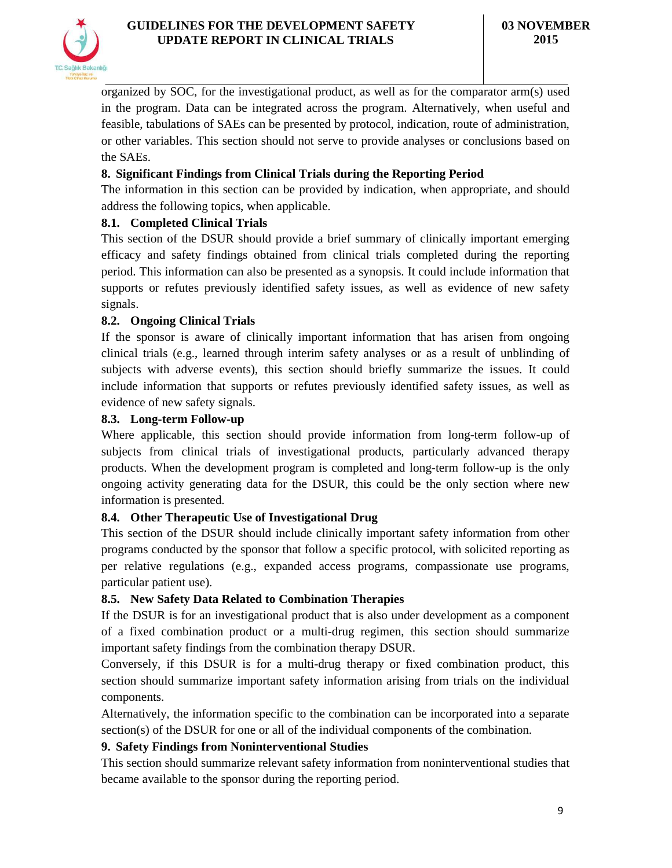

organized by SOC, for the investigational product, as well as for the comparator arm(s) used in the program. Data can be integrated across the program. Alternatively, when useful and feasible, tabulations of SAEs can be presented by protocol, indication, route of administration, or other variables. This section should not serve to provide analyses or conclusions based on the SAEs.

## **8. Significant Findings from Clinical Trials during the Reporting Period**

The information in this section can be provided by indication, when appropriate, and should address the following topics, when applicable.

## **8.1. Completed Clinical Trials**

This section of the DSUR should provide a brief summary of clinically important emerging efficacy and safety findings obtained from clinical trials completed during the reporting period. This information can also be presented as a synopsis. It could include information that supports or refutes previously identified safety issues, as well as evidence of new safety signals.

### **8.2. Ongoing Clinical Trials**

If the sponsor is aware of clinically important information that has arisen from ongoing clinical trials (e.g., learned through interim safety analyses or as a result of unblinding of subjects with adverse events), this section should briefly summarize the issues. It could include information that supports or refutes previously identified safety issues, as well as evidence of new safety signals.

### **8.3. Long-term Follow-up**

Where applicable, this section should provide information from long-term follow-up of subjects from clinical trials of investigational products, particularly advanced therapy products. When the development program is completed and long-term follow-up is the only ongoing activity generating data for the DSUR, this could be the only section where new information is presented.

### **8.4. Other Therapeutic Use of Investigational Drug**

This section of the DSUR should include clinically important safety information from other programs conducted by the sponsor that follow a specific protocol, with solicited reporting as per relative regulations (e.g., expanded access programs, compassionate use programs, particular patient use).

### **8.5. New Safety Data Related to Combination Therapies**

If the DSUR is for an investigational product that is also under development as a component of a fixed combination product or a multi-drug regimen, this section should summarize important safety findings from the combination therapy DSUR.

Conversely, if this DSUR is for a multi-drug therapy or fixed combination product, this section should summarize important safety information arising from trials on the individual components.

Alternatively, the information specific to the combination can be incorporated into a separate section(s) of the DSUR for one or all of the individual components of the combination.

### **9. Safety Findings from Noninterventional Studies**

This section should summarize relevant safety information from noninterventional studies that became available to the sponsor during the reporting period.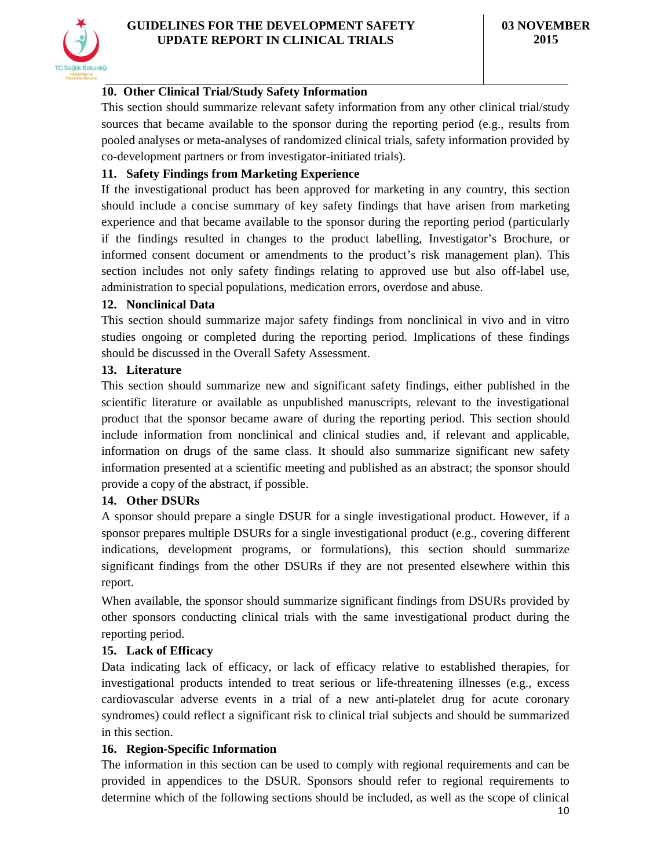## **10. Other Clinical Trial/Study Safety Information**

This section should summarize relevant safety information from any other clinical trial/study sources that became available to the sponsor during the reporting period (e.g., results from pooled analyses or meta-analyses of randomized clinical trials, safety information provided by co-development partners or from investigator-initiated trials).

### **11. Safety Findings from Marketing Experience**

If the investigational product has been approved for marketing in any country, this section should include a concise summary of key safety findings that have arisen from marketing experience and that became available to the sponsor during the reporting period (particularly if the findings resulted in changes to the product labelling, Investigator's Brochure, or informed consent document or amendments to the product's risk management plan). This section includes not only safety findings relating to approved use but also off-label use, administration to special populations, medication errors, overdose and abuse.

#### **12. Nonclinical Data**

This section should summarize major safety findings from nonclinical in vivo and in vitro studies ongoing or completed during the reporting period. Implications of these findings should be discussed in the Overall Safety Assessment.

#### **13. Literature**

This section should summarize new and significant safety findings, either published in the scientific literature or available as unpublished manuscripts, relevant to the investigational product that the sponsor became aware of during the reporting period. This section should include information from nonclinical and clinical studies and, if relevant and applicable, information on drugs of the same class. It should also summarize significant new safety information presented at a scientific meeting and published as an abstract; the sponsor should provide a copy of the abstract, if possible.

### **14. Other DSURs**

A sponsor should prepare a single DSUR for a single investigational product. However, if a sponsor prepares multiple DSURs for a single investigational product (e.g., covering different indications, development programs, or formulations), this section should summarize significant findings from the other DSURs if they are not presented elsewhere within this report.

When available, the sponsor should summarize significant findings from DSURs provided by other sponsors conducting clinical trials with the same investigational product during the reporting period.

### **15. Lack of Efficacy**

Data indicating lack of efficacy, or lack of efficacy relative to established therapies, for investigational products intended to treat serious or life-threatening illnesses (e.g., excess cardiovascular adverse events in a trial of a new anti-platelet drug for acute coronary syndromes) could reflect a significant risk to clinical trial subjects and should be summarized in this section.

### **16. Region-Specific Information**

The information in this section can be used to comply with regional requirements and can be provided in appendices to the DSUR. Sponsors should refer to regional requirements to determine which of the following sections should be included, as well as the scope of clinical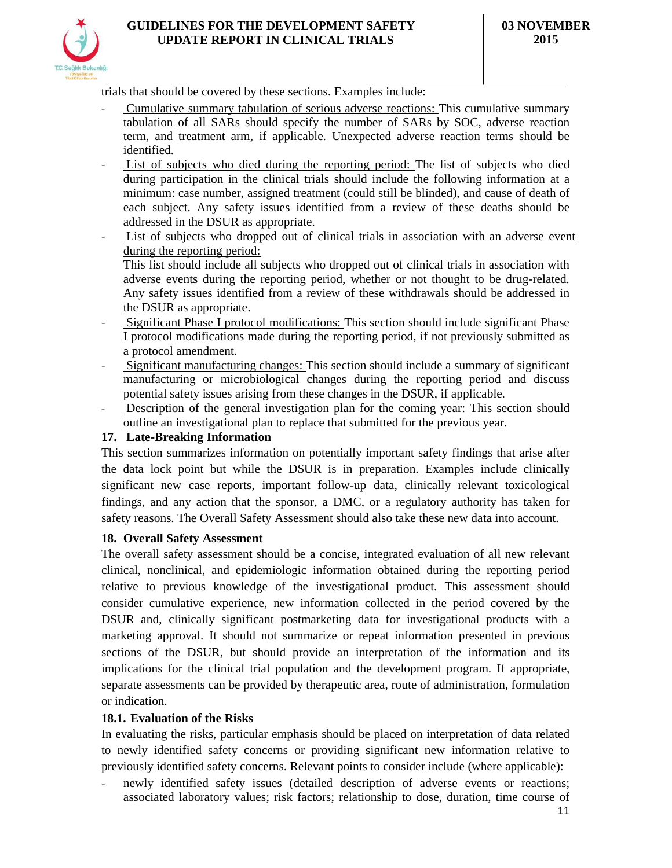

trials that should be covered by these sections. Examples include:

- Cumulative summary tabulation of serious adverse reactions: This cumulative summary tabulation of all SARs should specify the number of SARs by SOC, adverse reaction term, and treatment arm, if applicable. Unexpected adverse reaction terms should be identified.
- List of subjects who died during the reporting period: The list of subjects who died during participation in the clinical trials should include the following information at a minimum: case number, assigned treatment (could still be blinded), and cause of death of each subject. Any safety issues identified from a review of these deaths should be addressed in the DSUR as appropriate.
- List of subjects who dropped out of clinical trials in association with an adverse event during the reporting period: This list should include all subjects who dropped out of clinical trials in association with

adverse events during the reporting period, whether or not thought to be drug-related. Any safety issues identified from a review of these withdrawals should be addressed in the DSUR as appropriate.

- Significant Phase I protocol modifications: This section should include significant Phase I protocol modifications made during the reporting period, if not previously submitted as a protocol amendment.
- Significant manufacturing changes: This section should include a summary of significant manufacturing or microbiological changes during the reporting period and discuss potential safety issues arising from these changes in the DSUR, if applicable.
- Description of the general investigation plan for the coming year: This section should outline an investigational plan to replace that submitted for the previous year.

## **17. Late-Breaking Information**

This section summarizes information on potentially important safety findings that arise after the data lock point but while the DSUR is in preparation. Examples include clinically significant new case reports, important follow-up data, clinically relevant toxicological findings, and any action that the sponsor, a DMC, or a regulatory authority has taken for safety reasons. The Overall Safety Assessment should also take these new data into account.

### **18. Overall Safety Assessment**

The overall safety assessment should be a concise, integrated evaluation of all new relevant clinical, nonclinical, and epidemiologic information obtained during the reporting period relative to previous knowledge of the investigational product. This assessment should consider cumulative experience, new information collected in the period covered by the DSUR and, clinically significant postmarketing data for investigational products with a marketing approval. It should not summarize or repeat information presented in previous sections of the DSUR, but should provide an interpretation of the information and its implications for the clinical trial population and the development program. If appropriate, separate assessments can be provided by therapeutic area, route of administration, formulation or indication.

### **18.1. Evaluation of the Risks**

In evaluating the risks, particular emphasis should be placed on interpretation of data related to newly identified safety concerns or providing significant new information relative to previously identified safety concerns. Relevant points to consider include (where applicable):

newly identified safety issues (detailed description of adverse events or reactions; associated laboratory values; risk factors; relationship to dose, duration, time course of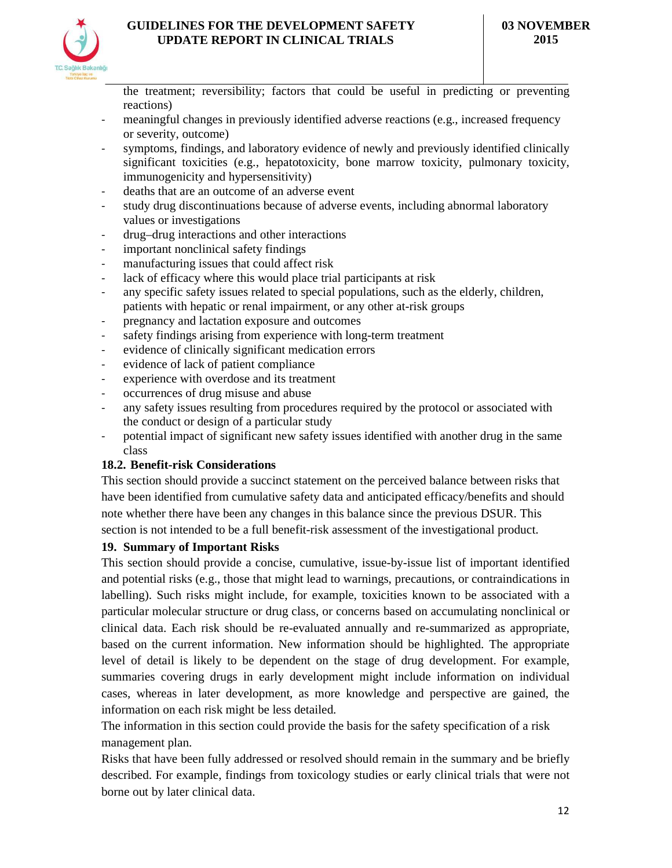

the treatment; reversibility; factors that could be useful in predicting or preventing reactions)

- meaningful changes in previously identified adverse reactions (e.g., increased frequency or severity, outcome)
- symptoms, findings, and laboratory evidence of newly and previously identified clinically significant toxicities (e.g., hepatotoxicity, bone marrow toxicity, pulmonary toxicity, immunogenicity and hypersensitivity)
- deaths that are an outcome of an adverse event
- study drug discontinuations because of adverse events, including abnormal laboratory values or investigations
- drug–drug interactions and other interactions
- important nonclinical safety findings
- manufacturing issues that could affect risk
- lack of efficacy where this would place trial participants at risk
- any specific safety issues related to special populations, such as the elderly, children, patients with hepatic or renal impairment, or any other at-risk groups
- pregnancy and lactation exposure and outcomes
- safety findings arising from experience with long-term treatment
- evidence of clinically significant medication errors
- evidence of lack of patient compliance
- experience with overdose and its treatment
- occurrences of drug misuse and abuse
- any safety issues resulting from procedures required by the protocol or associated with the conduct or design of a particular study
- potential impact of significant new safety issues identified with another drug in the same class

### **18.2. Benefit-risk Considerations**

This section should provide a succinct statement on the perceived balance between risks that have been identified from cumulative safety data and anticipated efficacy/benefits and should note whether there have been any changes in this balance since the previous DSUR. This section is not intended to be a full benefit-risk assessment of the investigational product.

#### **19. Summary of Important Risks**

This section should provide a concise, cumulative, issue-by-issue list of important identified and potential risks (e.g., those that might lead to warnings, precautions, or contraindications in labelling). Such risks might include, for example, toxicities known to be associated with a particular molecular structure or drug class, or concerns based on accumulating nonclinical or clinical data. Each risk should be re-evaluated annually and re-summarized as appropriate, based on the current information. New information should be highlighted. The appropriate level of detail is likely to be dependent on the stage of drug development. For example, summaries covering drugs in early development might include information on individual cases, whereas in later development, as more knowledge and perspective are gained, the information on each risk might be less detailed.

The information in this section could provide the basis for the safety specification of a risk management plan.

Risks that have been fully addressed or resolved should remain in the summary and be briefly described. For example, findings from toxicology studies or early clinical trials that were not borne out by later clinical data.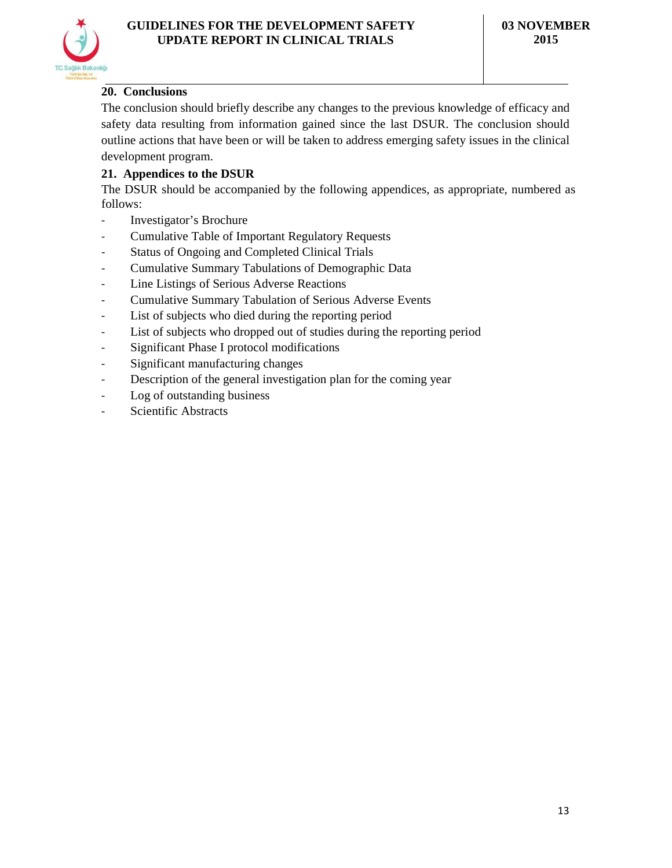

## **20. Conclusions**

The conclusion should briefly describe any changes to the previous knowledge of efficacy and safety data resulting from information gained since the last DSUR. The conclusion should outline actions that have been or will be taken to address emerging safety issues in the clinical development program.

## **21. Appendices to the DSUR**

The DSUR should be accompanied by the following appendices, as appropriate, numbered as follows:

- Investigator's Brochure
- Cumulative Table of Important Regulatory Requests
- Status of Ongoing and Completed Clinical Trials
- Cumulative Summary Tabulations of Demographic Data
- Line Listings of Serious Adverse Reactions
- Cumulative Summary Tabulation of Serious Adverse Events
- List of subjects who died during the reporting period
- List of subjects who dropped out of studies during the reporting period
- Significant Phase I protocol modifications
- Significant manufacturing changes
- Description of the general investigation plan for the coming year
- Log of outstanding business
- Scientific Abstracts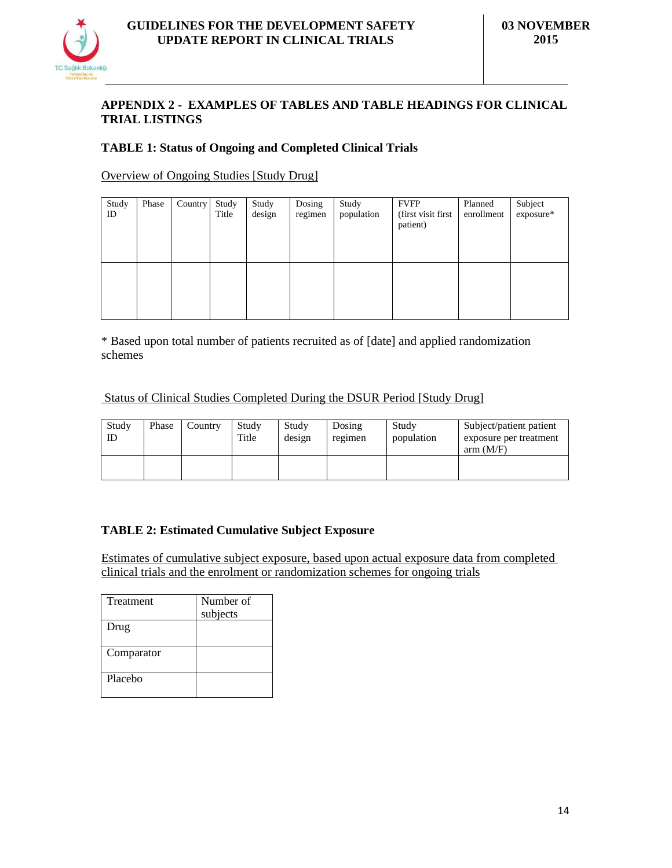

### **APPENDIX 2 - EXAMPLES OF TABLES AND TABLE HEADINGS FOR CLINICAL TRIAL LISTINGS**

### **TABLE 1: Status of Ongoing and Completed Clinical Trials**

### Overview of Ongoing Studies [Study Drug]

| Study<br>ID | Phase | Country | Study<br>Title | Study<br>design | Dosing<br>regimen | Study<br>population | <b>FVFP</b><br>(first visit first<br>patient) | Planned<br>enrollment | Subject<br>exposure* |
|-------------|-------|---------|----------------|-----------------|-------------------|---------------------|-----------------------------------------------|-----------------------|----------------------|
|             |       |         |                |                 |                   |                     |                                               |                       |                      |

\* Based upon total number of patients recruited as of [date] and applied randomization schemes

#### Status of Clinical Studies Completed During the DSUR Period [Study Drug]

| Study<br>ID | Phase | Country | Study<br>Title | Study<br>design | Dosing<br>regimen | Study<br>population | Subject/patient patient<br>exposure per treatment<br>arm (M/F) |
|-------------|-------|---------|----------------|-----------------|-------------------|---------------------|----------------------------------------------------------------|
|             |       |         |                |                 |                   |                     |                                                                |

### **TABLE 2: Estimated Cumulative Subject Exposure**

Estimates of cumulative subject exposure, based upon actual exposure data from completed clinical trials and the enrolment or randomization schemes for ongoing trials

| Treatment  | Number of<br>subjects |
|------------|-----------------------|
| Drug       |                       |
| Comparator |                       |
| Placebo    |                       |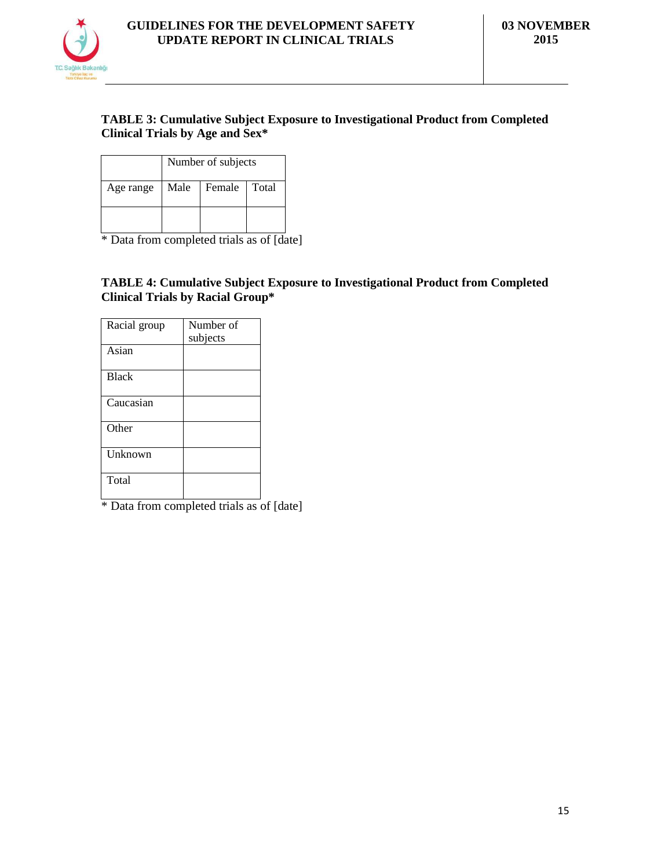

### **TABLE 3: Cumulative Subject Exposure to Investigational Product from Completed Clinical Trials by Age and Sex\***

|           | Number of subjects |                |  |  |  |  |
|-----------|--------------------|----------------|--|--|--|--|
| Age range | Male               | Female   Total |  |  |  |  |
|           |                    |                |  |  |  |  |

\* Data from completed trials as of [date]

### **TABLE 4: Cumulative Subject Exposure to Investigational Product from Completed Clinical Trials by Racial Group\***

| Racial group | Number of |
|--------------|-----------|
|              | subjects  |
| Asian        |           |
|              |           |
| <b>Black</b> |           |
|              |           |
| Caucasian    |           |
|              |           |
| Other        |           |
|              |           |
| Unknown      |           |
|              |           |
| Total        |           |
|              |           |

 $\overline{\text{*}$  Data from completed trials as of [date]